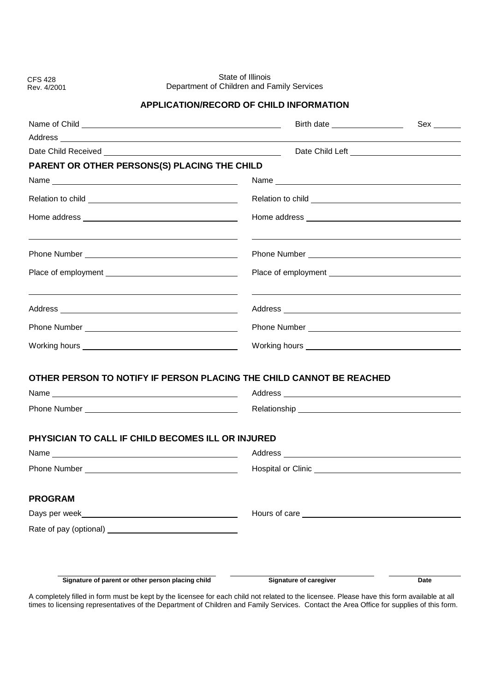CFS 428 Rev. 4/2001

State of Illinois Department of Children and Family Services

## **APPLICATION/RECORD OF CHILD INFORMATION**

| Address and the contract of the contract of the contract of the contract of the contract of the contract of the contract of the contract of the contract of the contract of the contract of the contract of the contract of th |                                                                                                                                                                                                                                |      |
|--------------------------------------------------------------------------------------------------------------------------------------------------------------------------------------------------------------------------------|--------------------------------------------------------------------------------------------------------------------------------------------------------------------------------------------------------------------------------|------|
|                                                                                                                                                                                                                                |                                                                                                                                                                                                                                |      |
| PARENT OR OTHER PERSONS(S) PLACING THE CHILD                                                                                                                                                                                   |                                                                                                                                                                                                                                |      |
|                                                                                                                                                                                                                                |                                                                                                                                                                                                                                |      |
|                                                                                                                                                                                                                                |                                                                                                                                                                                                                                |      |
|                                                                                                                                                                                                                                |                                                                                                                                                                                                                                |      |
|                                                                                                                                                                                                                                |                                                                                                                                                                                                                                |      |
|                                                                                                                                                                                                                                |                                                                                                                                                                                                                                |      |
|                                                                                                                                                                                                                                |                                                                                                                                                                                                                                |      |
|                                                                                                                                                                                                                                |                                                                                                                                                                                                                                |      |
|                                                                                                                                                                                                                                |                                                                                                                                                                                                                                |      |
| OTHER PERSON TO NOTIFY IF PERSON PLACING THE CHILD CANNOT BE REACHED                                                                                                                                                           |                                                                                                                                                                                                                                |      |
|                                                                                                                                                                                                                                | Relationship experience and the contract of the contract of the contract of the contract of the contract of the contract of the contract of the contract of the contract of the contract of the contract of the contract of th |      |
| PHYSICIAN TO CALL IF CHILD BECOMES ILL OR INJURED                                                                                                                                                                              |                                                                                                                                                                                                                                |      |
| Name Name and the state of the state of the state of the state of the state of the state of the state of the state of the state of the state of the state of the state of the state of the state of the state of the state of  |                                                                                                                                                                                                                                |      |
|                                                                                                                                                                                                                                |                                                                                                                                                                                                                                |      |
| <b>PROGRAM</b>                                                                                                                                                                                                                 |                                                                                                                                                                                                                                |      |
|                                                                                                                                                                                                                                | Hours of care                                                                                                                                                                                                                  |      |
| Rate of pay (optional) <u>contained</u>                                                                                                                                                                                        |                                                                                                                                                                                                                                |      |
|                                                                                                                                                                                                                                |                                                                                                                                                                                                                                |      |
| Signature of parent or other person placing child                                                                                                                                                                              | <b>Signature of caregiver</b>                                                                                                                                                                                                  | Date |

A completely filled in form must be kept by the licensee for each child not related to the licensee. Please have this form available at all times to licensing representatives of the Department of Children and Family Services. Contact the Area Office for supplies of this form.